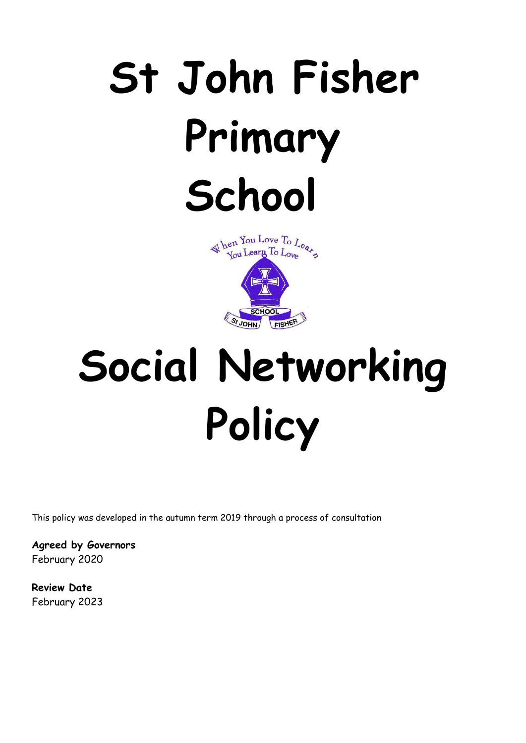# **St John Fisher Primary School**



# **Social Networking Policy**

This policy was developed in the autumn term 2019 through a process of consultation

**Agreed by Governors** February 2020

**Review Date** February 2023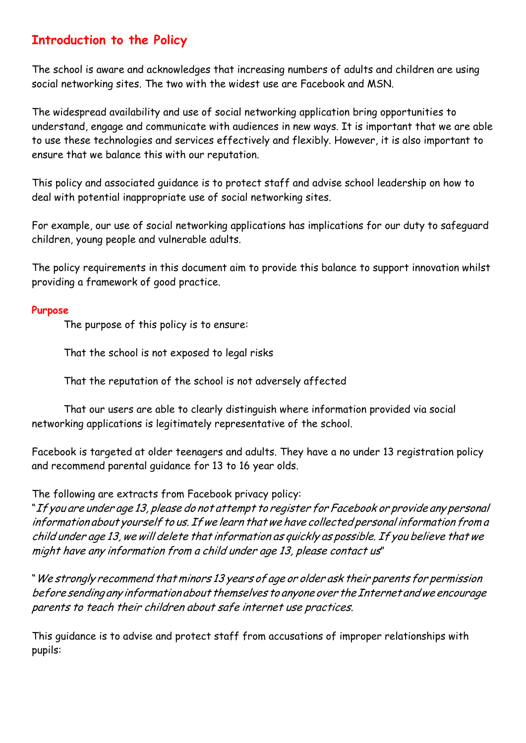# **Introduction to the Policy**

The school is aware and acknowledges that increasing numbers of adults and children are using social networking sites. The two with the widest use are Facebook and MSN.

The widespread availability and use of social networking application bring opportunities to understand, engage and communicate with audiences in new ways. It is important that we are able to use these technologies and services effectively and flexibly. However, it is also important to ensure that we balance this with our reputation.

This policy and associated guidance is to protect staff and advise school leadership on how to deal with potential inappropriate use of social networking sites.

For example, our use of social networking applications has implications for our duty to safeguard children, young people and vulnerable adults.

The policy requirements in this document aim to provide this balance to support innovation whilst providing a framework of good practice.

#### **Purpose**

The purpose of this policy is to ensure:

That the school is not exposed to legal risks

That the reputation of the school is not adversely affected

That our users are able to clearly distinguish where information provided via social networking applications is legitimately representative of the school.

Facebook is targeted at older teenagers and adults. They have a no under 13 registration policy and recommend parental guidance for 13 to 16 year olds.

The following are extracts from Facebook privacy policy:

"If you are under age 13, please do not attempt to register for Facebook or provide any personal information about yourself to us. If we learn that we have collected personal information from a child under age 13, we will delete that information as quickly as possible. If you believe that we might have any information from <sup>a</sup> child under age 13, please contact us"

"We strongly recommend that minors 13 years of age or older ask their parents for permission before sending any information about themselves to anyone over the Internet andwe encourage parents to teach their children about safe internet use practices.

This guidance is to advise and protect staff from accusations of improper relationships with pupils: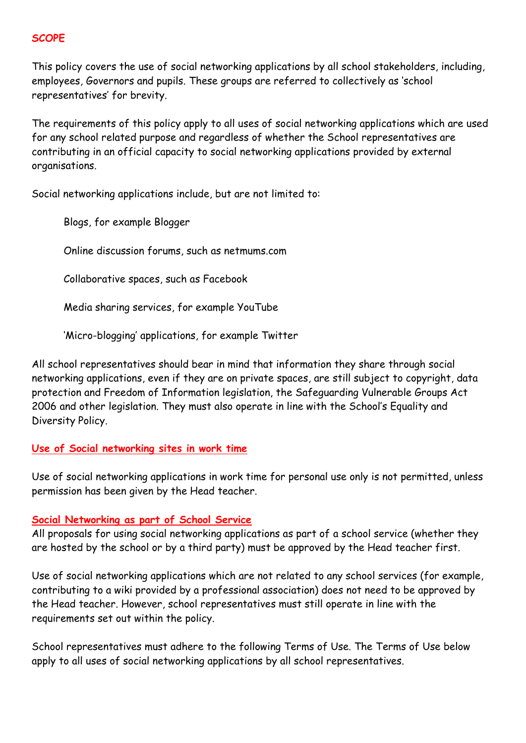#### **SCOPE**

This policy covers the use of social networking applications by all school stakeholders, including, employees, Governors and pupils. These groups are referred to collectively as 'school representatives' for brevity.

The requirements of this policy apply to all uses of social networking applications which are used for any school related purpose and regardless of whether the School representatives are contributing in an official capacity to social networking applications provided by external organisations.

Social networking applications include, but are not limited to:

Blogs, for example Blogger

Online discussion forums, such as netmums.com

Collaborative spaces, such as Facebook

Media sharing services, for example YouTube

'Micro-blogging' applications, for example Twitter

All school representatives should bear in mind that information they share through social networking applications, even if they are on private spaces, are still subject to copyright, data protection and Freedom of Information legislation, the Safeguarding Vulnerable Groups Act 2006 and other legislation. They must also operate in line with the School's Equality and Diversity Policy.

#### **Use of Social networking sites in work time**

Use of social networking applications in work time for personal use only is not permitted, unless permission has been given by the Head teacher.

#### **Social Networking as part of School Service**

All proposals for using social networking applications as part of a school service (whether they are hosted by the school or by a third party) must be approved by the Head teacher first.

Use of social networking applications which are not related to any school services (for example, contributing to a wiki provided by a professional association) does not need to be approved by the Head teacher. However, school representatives must still operate in line with the requirements set out within the policy.

School representatives must adhere to the following Terms of Use. The Terms of Use below apply to all uses of social networking applications by all school representatives.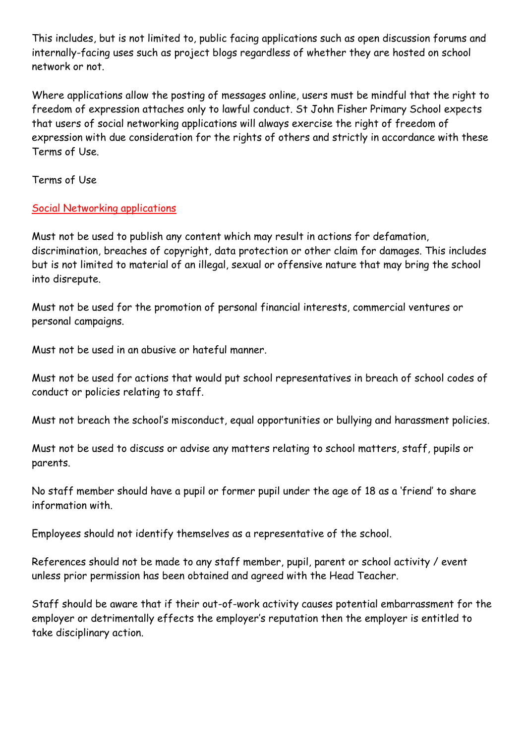This includes, but is not limited to, public facing applications such as open discussion forums and internally-facing uses such as project blogs regardless of whether they are hosted on school network or not.

Where applications allow the posting of messages online, users must be mindful that the right to freedom of expression attaches only to lawful conduct. St John Fisher Primary School expects that users of social networking applications will always exercise the right of freedom of expression with due consideration for the rights of others and strictly in accordance with these Terms of Use.

Terms of Use

## Social Networking applications

Must not be used to publish any content which may result in actions for defamation, discrimination, breaches of copyright, data protection or other claim for damages. This includes but is not limited to material of an illegal, sexual or offensive nature that may bring the school into disrepute.

Must not be used for the promotion of personal financial interests, commercial ventures or personal campaigns.

Must not be used in an abusive or hateful manner.

Must not be used for actions that would put school representatives in breach of school codes of conduct or policies relating to staff.

Must not breach the school's misconduct, equal opportunities or bullying and harassment policies.

Must not be used to discuss or advise any matters relating to school matters, staff, pupils or parents.

No staff member should have a pupil or former pupil under the age of 18 as a 'friend' to share information with.

Employees should not identify themselves as a representative of the school.

References should not be made to any staff member, pupil, parent or school activity / event unless prior permission has been obtained and agreed with the Head Teacher.

Staff should be aware that if their out-of-work activity causes potential embarrassment for the employer or detrimentally effects the employer's reputation then the employer is entitled to take disciplinary action.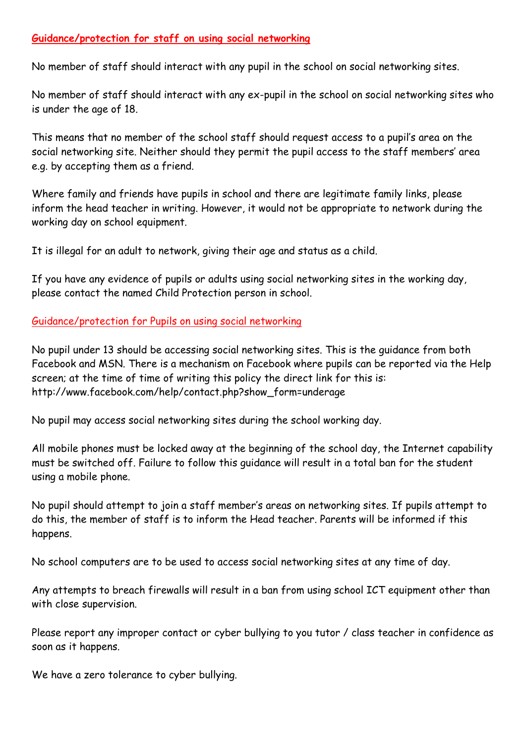## **Guidance/protection for staff on using social networking**

No member of staff should interact with any pupil in the school on social networking sites.

No member of staff should interact with any ex-pupil in the school on social networking sites who is under the age of 18.

This means that no member of the school staff should request access to a pupil's area on the social networking site. Neither should they permit the pupil access to the staff members' area e.g. by accepting them as a friend.

Where family and friends have pupils in school and there are legitimate family links, please inform the head teacher in writing. However, it would not be appropriate to network during the working day on school equipment.

It is illegal for an adult to network, giving their age and status as a child.

If you have any evidence of pupils or adults using social networking sites in the working day, please contact the named Child Protection person in school.

Guidance/protection for Pupils on using social networking

No pupil under 13 should be accessing social networking sites. This is the guidance from both Facebook and MSN. There is a mechanism on Facebook where pupils can be reported via the Help screen; at the time of time of writing this policy the direct link for this is[:](http://www.facebook.com/help/contact.php?show_form=underage) [http://www.facebook.com/help/contact.php?show\\_form=underage](http://www.facebook.com/help/contact.php?show_form=underage)

No pupil may access social networking sites during the school working day.

All mobile phones must be locked away at the beginning of the school day, the Internet capability must be switched off. Failure to follow this guidance will result in a total ban for the student using a mobile phone.

No pupil should attempt to join a staff member's areas on networking sites. If pupils attempt to do this, the member of staff is to inform the Head teacher. Parents will be informed if this happens.

No school computers are to be used to access social networking sites at any time of day.

Any attempts to breach firewalls will result in a ban from using school ICT equipment other than with close supervision.

Please report any improper contact or cyber bullying to you tutor / class teacher in confidence as soon as it happens.

We have a zero tolerance to cyber bullying.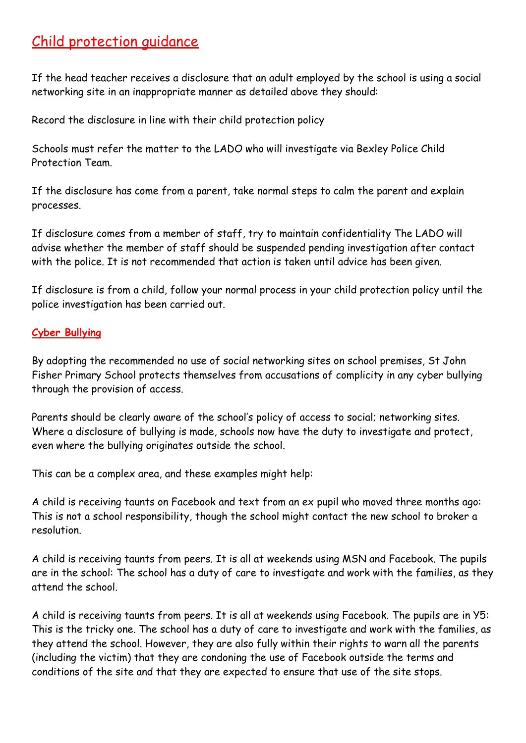# Child protection guidance

If the head teacher receives a disclosure that an adult employed by the school is using a social networking site in an inappropriate manner as detailed above they should:

Record the disclosure in line with their child protection policy

Schools must refer the matter to the LADO who will investigate via Bexley Police Child Protection Team.

If the disclosure has come from a parent, take normal steps to calm the parent and explain processes.

If disclosure comes from a member of staff, try to maintain confidentiality The LADO will advise whether the member of staff should be suspended pending investigation after contact with the police. It is not recommended that action is taken until advice has been given.

If disclosure is from a child, follow your normal process in your child protection policy until the police investigation has been carried out.

### **Cyber Bullying**

By adopting the recommended no use of social networking sites on school premises, St John Fisher Primary School protects themselves from accusations of complicity in any cyber bullying through the provision of access.

Parents should be clearly aware of the school's policy of access to social; networking sites. Where a disclosure of bullying is made, schools now have the duty to investigate and protect, even where the bullying originates outside the school.

This can be a complex area, and these examples might help:

A child is receiving taunts on Facebook and text from an ex pupil who moved three months ago: This is not a school responsibility, though the school might contact the new school to broker a resolution.

A child is receiving taunts from peers. It is all at weekends using MSN and Facebook. The pupils are in the school: The school has a duty of care to investigate and work with the families, as they attend the school.

A child is receiving taunts from peers. It is all at weekends using Facebook. The pupils are in Y5: This is the tricky one. The school has a duty of care to investigate and work with the families, as they attend the school. However, they are also fully within their rights to warn all the parents (including the victim) that they are condoning the use of Facebook outside the terms and conditions of the site and that they are expected to ensure that use of the site stops.